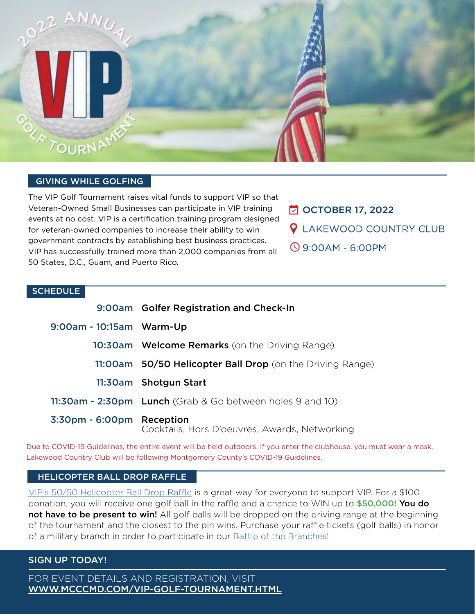

#### GIVING WHILE GOLFING

The VIP Golf Tournament raises vital funds to support VIP so that Veteran-Owned Small Businesses can participate in VIP training events at no cost. VIP is a certification training program designed for veteran-owned companies to increase their ability to win government contracts by establishing best business practices. VIP has successfully trained more than 2,000 companies from all 50 States, D.C., Guam, and Puerto Rico.

- **□ OCTOBER 17, 2022**
- **Q** LAKEWOOD COUNTRY CLUB
- **9:00AM 6:00PM**

#### **SCHEDULE**

|                           | 9:00am Golfer Registration and Check-In                   |
|---------------------------|-----------------------------------------------------------|
| 9:00am - 10:15am Warm-Up  |                                                           |
|                           | <b>10:30am</b> Welcome Remarks (on the Driving Range)     |
|                           | 11:00am 50/50 Helicopter Ball Drop (on the Driving Range) |
|                           | 11:30am Shotgun Start                                     |
|                           | 11:30am - 2:30pm Lunch (Grab & Go between holes 9 and 10) |
| 3:30pm - 6:00pm Reception | Cocktails, Hors D'oeuvres, Awards, Networking             |

Due to COVID-19 Guidelines, the entire event will be held outdoors. If you enter the clubhouse, you must wear a mask. Lakewood Country Club will be following Montgomery County's COVID-19 Guidelines.

#### HELICOPTER BALL DROP RAFFLE

[VIP's 50/50 Helicopter Ball Drop Raffle](https://www.mcccmd.com/helicopter-ball-drop-raffle.html) is a great way for everyone to support VIP. For a \$100 donation, you will receive one golf ball in the raffle and a chance to WIN up to \$50,000! You do not have to be present to win! All golf balls will be dropped on the driving range at the beginning of the tournament and the closest to the pin wins. Purchase your raffle tickets (golf balls) in honor of a military branch in order to participate in our **[Battle of the Branches!](https://www.mcccmd.com/helicopter-ball-drop-raffle.html)** 

#### SIGN UP TODAY!

FOR EVENT DETAILS AND REGISTRATION, VISIT [WWW.MCCCMD.COM/VIP-GOLF-TOURNAMENT.HTML](https://www.mcccmd.com/vip-golf-tournament.html)